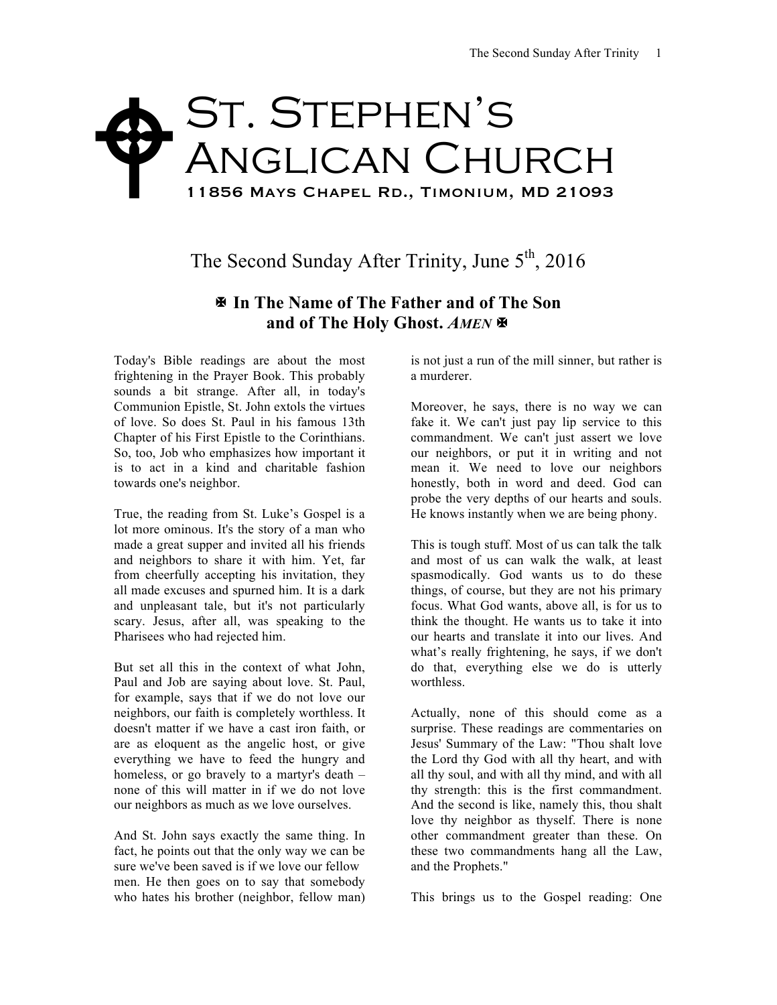## St. Stephen's Anglican Church 11856 Mays Chapel Rd., Timonium, MD 21093  $\blacklozenge$

The Second Sunday After Trinity, June  $5<sup>th</sup>$ , 2016

## X **In The Name of The Father and of The Son and of The Holy Ghost.** *AMEN* X

Today's Bible readings are about the most frightening in the Prayer Book. This probably sounds a bit strange. After all, in today's Communion Epistle, St. John extols the virtues of love. So does St. Paul in his famous 13th Chapter of his First Epistle to the Corinthians. So, too, Job who emphasizes how important it is to act in a kind and charitable fashion towards one's neighbor.

True, the reading from St. Luke's Gospel is a lot more ominous. It's the story of a man who made a great supper and invited all his friends and neighbors to share it with him. Yet, far from cheerfully accepting his invitation, they all made excuses and spurned him. It is a dark and unpleasant tale, but it's not particularly scary. Jesus, after all, was speaking to the Pharisees who had rejected him.

But set all this in the context of what John, Paul and Job are saying about love. St. Paul, for example, says that if we do not love our neighbors, our faith is completely worthless. It doesn't matter if we have a cast iron faith, or are as eloquent as the angelic host, or give everything we have to feed the hungry and homeless, or go bravely to a martyr's death – none of this will matter in if we do not love our neighbors as much as we love ourselves.

And St. John says exactly the same thing. In fact, he points out that the only way we can be sure we've been saved is if we love our fellow men. He then goes on to say that somebody who hates his brother (neighbor, fellow man)

is not just a run of the mill sinner, but rather is a murderer.

Moreover, he says, there is no way we can fake it. We can't just pay lip service to this commandment. We can't just assert we love our neighbors, or put it in writing and not mean it. We need to love our neighbors honestly, both in word and deed. God can probe the very depths of our hearts and souls. He knows instantly when we are being phony.

This is tough stuff. Most of us can talk the talk and most of us can walk the walk, at least spasmodically. God wants us to do these things, of course, but they are not his primary focus. What God wants, above all, is for us to think the thought. He wants us to take it into our hearts and translate it into our lives. And what's really frightening, he says, if we don't do that, everything else we do is utterly worthless.

Actually, none of this should come as a surprise. These readings are commentaries on Jesus' Summary of the Law: "Thou shalt love the Lord thy God with all thy heart, and with all thy soul, and with all thy mind, and with all thy strength: this is the first commandment. And the second is like, namely this, thou shalt love thy neighbor as thyself. There is none other commandment greater than these. On these two commandments hang all the Law, and the Prophets."

This brings us to the Gospel reading: One